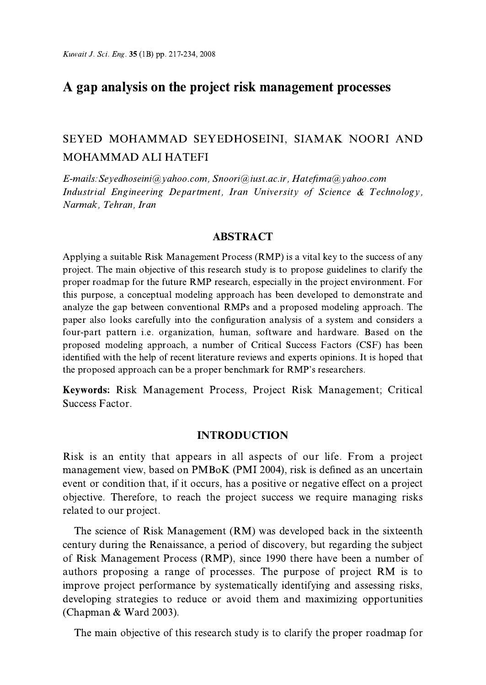# A gap analysis on the project risk management processes

# SEYED MOHAMMAD SEYEDHOSEINI, SIAMAK NOORI AND MOHAMMAD ALI HATEFI

E-mails: Sevedhoseini@ vahoo.com, Snoori@iust.ac.ir, Hatefima@ vahoo.com Industrial Engineering Department, Iran University of Science & Technology, Narmak, Tehran, Iran

### **ABSTRACT**

Applying a suitable Risk Management Process (RMP) is a vital key to the success of any project. The main objective of this research study is to propose guidelines to clarify the proper roadmap for the future RMP research, especially in the project environment. For this purpose, a conceptual modeling approach has been developed to demonstrate and analyze the gap between conventional RMPs and a proposed modeling approach. The paper also looks carefully into the configuration analysis of a system and considers a four-part pattern *i.e.* organization, human, software and hardware. Based on the proposed modeling approach, a number of Critical Success Factors (CSF) has been identified with the help of recent literature reviews and experts opinions. It is hoped that the proposed approach can be a proper benchmark for RMP's researchers.

Keywords: Risk Management Process, Project Risk Management; Critical Success Factor.

#### **INTRODUCTION**

Risk is an entity that appears in all aspects of our life. From a project management view, based on PMBoK (PMI 2004), risk is defined as an uncertain event or condition that, if it occurs, has a positive or negative effect on a project objective. Therefore, to reach the project success we require managing risks related to our project.

The science of Risk Management (RM) was developed back in the sixteenth century during the Renaissance, a period of discovery, but regarding the subject of Risk Management Process (RMP), since 1990 there have been a number of authors proposing a range of processes. The purpose of project RM is to improve project performance by systematically identifying and assessing risks, developing strategies to reduce or avoid them and maximizing opportunities (Chapman & Ward 2003).

The main objective of this research study is to clarify the proper roadmap for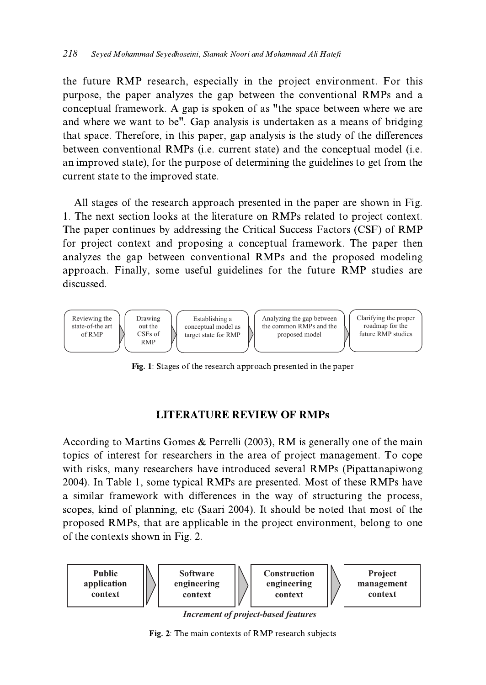the future RMP research, especially in the project environment. For this purpose, the paper analyzes the gap between the conventional RMPs and a conceptual framework. A gap is spoken of as "the space between where we are and where we want to be". Gap analysis is undertaken as a means of bridging that space. Therefore, in this paper, gap analysis is the study of the differences between conventional RMPs (i.e. current state) and the conceptual model (i.e. an improved state), for the purpose of determining the guidelines to get from the current state to the improved state.

All stages of the research approach presented in the paper are shown in Fig. 1. The next section looks at the literature on RMPs related to project context. The paper continues by addressing the Critical Success Factors (CSF) of RMP for project context and proposing a conceptual framework. The paper then analyzes the gap between conventional RMPs and the proposed modeling approach. Finally, some useful guidelines for the future RMP studies are discussed



Fig. 1: Stages of the research approach presented in the paper

### **LITERATURE REVIEW OF RMPs**

According to Martins Gomes & Perrelli (2003), RM is generally one of the main topics of interest for researchers in the area of project management. To cope with risks, many researchers have introduced several RMPs (Pipattanapiwong 2004). In Table 1, some typical RMPs are presented. Most of these RMPs have a similar framework with differences in the way of structuring the process, scopes, kind of planning, etc (Saari 2004). It should be noted that most of the proposed RMPs, that are applicable in the project environment, belong to one of the contexts shown in Fig. 2.



**Increment of project-based features** 

Fig. 2. The main contexts of RMP research subjects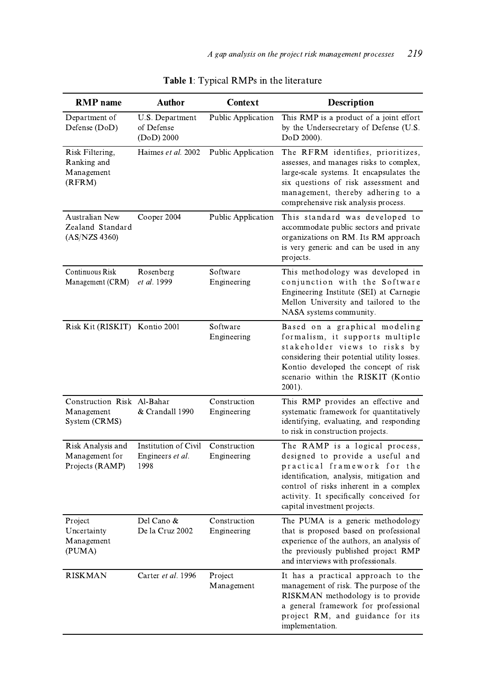| <b>RMP</b> name                                           | <b>Author</b>                                    | <b>Context</b>              | <b>Description</b>                                                                                                                                                                                                                                                 |
|-----------------------------------------------------------|--------------------------------------------------|-----------------------------|--------------------------------------------------------------------------------------------------------------------------------------------------------------------------------------------------------------------------------------------------------------------|
| Department of<br>Defense (DoD)                            | U.S. Department<br>of Defense<br>$(DoD)$ 2000    | Public Application          | This RMP is a product of a joint effort<br>by the Undersecretary of Defense (U.S.<br>DoD 2000).                                                                                                                                                                    |
| Risk Filtering,<br>Ranking and<br>Management<br>(RFRM)    | Haimes et al. 2002                               | Public Application          | The RFRM identifies, prioritizes,<br>assesses, and manages risks to complex,<br>large-scale systems. It encapsulates the<br>six questions of risk assessment and<br>management, thereby adhering to a<br>comprehensive risk analysis process.                      |
| Australian New<br>Zealand Standard<br>(AS/NZS 4360)       | Cooper 2004                                      | Public Application          | This standard was developed to<br>accommodate public sectors and private<br>organizations on RM. Its RM approach<br>is very generic and can be used in any<br>projects.                                                                                            |
| Continuous Risk<br>Management (CRM)                       | Rosenberg<br>et al. 1999                         | Software<br>Engineering     | This methodology was developed in<br>conjunction with the Software<br>Engineering Institute (SEI) at Carnegie<br>Mellon University and tailored to the<br>NASA systems community.                                                                                  |
| Risk Kit (RISKIT) Kontio 2001                             |                                                  | Software<br>Engineering     | Based on a graphical modeling<br>formalism, it supports multiple<br>stakeholder views to risks by<br>considering their potential utility losses.<br>Kontio developed the concept of risk<br>scenario within the RISKIT (Kontio<br>2001).                           |
| Construction Risk Al-Bahar<br>Management<br>System (CRMS) | & Crandall 1990                                  | Construction<br>Engineering | This RMP provides an effective and<br>systematic framework for quantitatively<br>identifying, evaluating, and responding<br>to risk in construction projects.                                                                                                      |
| Risk Analysis and<br>Management for<br>Projects (RAMP)    | Institution of Civil<br>Engineers et al.<br>1998 | Construction<br>Engineering | The RAMP is a logical process,<br>designed to provide a useful and<br>practical framework for the<br>identification, analysis, mitigation and<br>control of risks inherent in a complex<br>activity. It specifically conceived for<br>capital investment projects. |
| Project<br>Uncertainty<br>Management<br>(PUMA)            | Del Cano &<br>De la Cruz 2002                    | Construction<br>Engineering | The PUMA is a generic methodology<br>that is proposed based on professional<br>experience of the authors, an analysis of<br>the previously published project RMP<br>and interviews with professionals.                                                             |
| <b>RISKMAN</b>                                            | Carter et al. 1996                               | Project<br>Management       | It has a practical approach to the<br>management of risk. The purpose of the<br>RISKMAN methodology is to provide<br>a general framework for professional<br>project RM, and guidance for its<br>implementation.                                                   |

# Table 1: Typical RMPs in the literature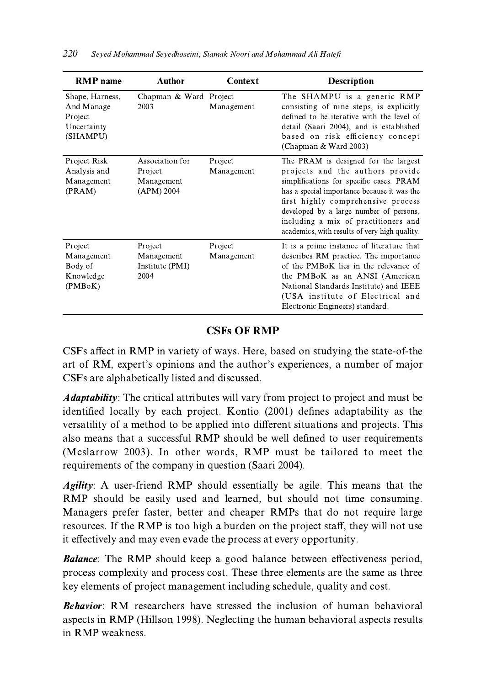| <b>RMP</b> name                                                     | <b>Author</b>                                          | <b>Context</b>        | <b>Description</b>                                                                                                                                                                                                                                                                                                                            |
|---------------------------------------------------------------------|--------------------------------------------------------|-----------------------|-----------------------------------------------------------------------------------------------------------------------------------------------------------------------------------------------------------------------------------------------------------------------------------------------------------------------------------------------|
| Shape, Harness,<br>And Manage<br>Project<br>Uncertainty<br>(SHAMPU) | Chapman & Ward<br>2003                                 | Project<br>Management | The SHAMPU is a generic RMP<br>consisting of nine steps, is explicitly<br>defined to be iterative with the level of<br>detail (Saari 2004), and is established<br>based on risk efficiency concept<br>(Chapman & Ward 2003)                                                                                                                   |
| Project Risk<br>Analysis and<br>Management<br>(PRAM)                | Association for<br>Project<br>Management<br>(APM) 2004 | Project<br>Management | The PRAM is designed for the largest<br>projects and the authors provide<br>simplifications for specific cases. PRAM<br>has a special importance because it was the<br>first highly comprehensive process<br>developed by a large number of persons,<br>including a mix of practitioners and<br>academics, with results of very high quality. |
| Project<br>Management<br>Body of<br>Knowledge<br>(PMBoK)            | Project<br>Management<br>Institute (PMI)<br>2004       | Project<br>Management | It is a prime instance of literature that<br>describes RM practice. The importance<br>of the PMBoK lies in the relevance of<br>the PMBoK as an ANSI (American<br>National Standards Institute) and IEEE<br>(USA institute of Electrical and<br>Electronic Engineers) standard.                                                                |

## **CSFs OF RMP**

CSFs affect in RMP in variety of ways. Here, based on studying the state-of-the art of RM, expert's opinions and the author's experiences, a number of major CSFs are alphabetically listed and discussed.

*Adaptability*: The critical attributes will vary from project to project and must be identified locally by each project. Kontio (2001) defines adaptability as the versatility of a method to be applied into different situations and projects. This also means that a successful RMP should be well defined to user requirements (Mcslarrow 2003). In other words, RMP must be tailored to meet the requirements of the company in question (Saari 2004).

*Agility*: A user-friend RMP should essentially be agile. This means that the RMP should be easily used and learned, but should not time consuming. Managers prefer faster, better and cheaper RMPs that do not require large resources. If the RMP is too high a burden on the project staff, they will not use it effectively and may even evade the process at every opportunity.

**Balance:** The RMP should keep a good balance between effectiveness period, process complexity and process cost. These three elements are the same as three key elements of project management including schedule, quality and cost.

**Behavior:** RM researchers have stressed the inclusion of human behavioral aspects in RMP (Hillson 1998). Neglecting the human behavioral aspects results in RMP weakness.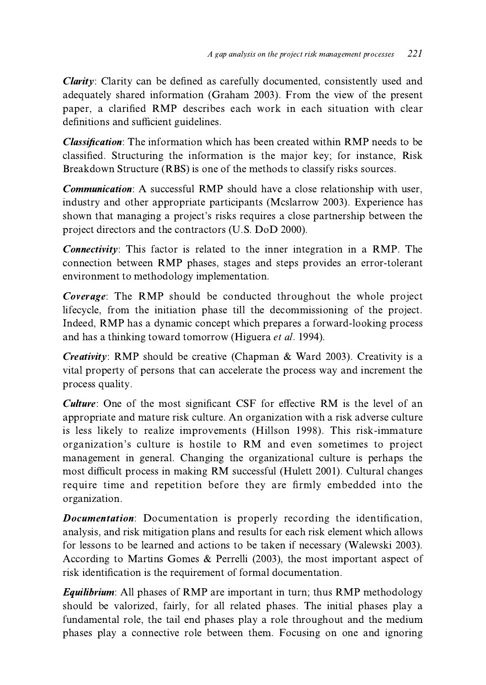**Clarity:** Clarity can be defined as carefully documented, consistently used and adequately shared information (Graham 2003). From the view of the present paper, a clarified RMP describes each work in each situation with clear definitions and sufficient guidelines.

**Classification:** The information which has been created within RMP needs to be classified. Structuring the information is the major key; for instance, Risk Breakdown Structure (RBS) is one of the methods to classify risks sources.

**Communication:** A successful RMP should have a close relationship with user, industry and other appropriate participants (Mcslarrow 2003). Experience has shown that managing a project's risks requires a close partnership between the project directors and the contractors (U.S. DoD 2000).

**Connectivity:** This factor is related to the inner integration in a RMP. The connection between RMP phases, stages and steps provides an error-tolerant environment to methodology implementation.

Coverage: The RMP should be conducted throughout the whole project lifecycle, from the initiation phase till the decommissioning of the project. Indeed, RMP has a dynamic concept which prepares a forward-looking process and has a thinking toward tomorrow (Higuera et al. 1994).

*Creativity*: RMP should be creative (Chapman & Ward 2003). Creativity is a vital property of persons that can accelerate the process way and increment the process quality.

**Culture:** One of the most significant CSF for effective RM is the level of an appropriate and mature risk culture. An organization with a risk adverse culture is less likely to realize improvements (Hillson 1998). This risk-immature organization's culture is hostile to RM and even sometimes to project management in general. Changing the organizational culture is perhaps the most difficult process in making RM successful (Hulett 2001). Cultural changes require time and repetition before they are firmly embedded into the organization.

**Documentation:** Documentation is properly recording the identification, analysis, and risk mitigation plans and results for each risk element which allows for lessons to be learned and actions to be taken if necessary (Walewski 2003). According to Martins Gomes & Perrelli (2003), the most important aspect of risk identification is the requirement of formal documentation.

**Equilibrium:** All phases of RMP are important in turn; thus RMP methodology should be valorized, fairly, for all related phases. The initial phases play a fundamental role, the tail end phases play a role throughout and the medium phases play a connective role between them. Focusing on one and ignoring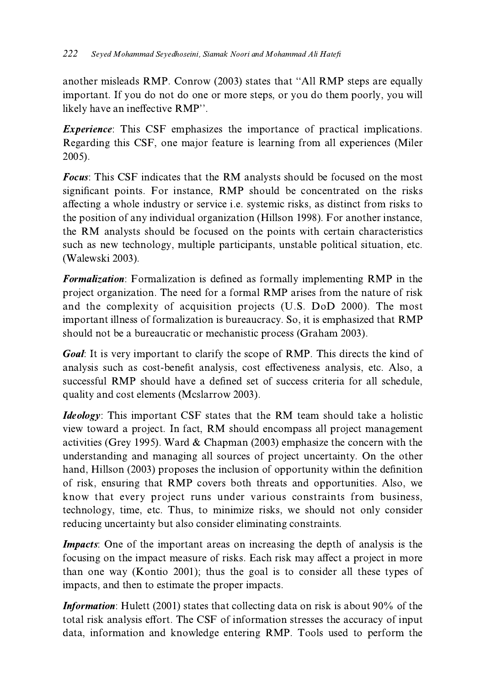another misleads RMP. Conrow (2003) states that "All RMP steps are equally important. If you do not do one or more steps, or you do them poorly, you will likely have an ineffective RMP".

*Experience*: This CSF emphasizes the importance of practical implications. Regarding this CSF, one major feature is learning from all experiences (Miler 2005).

**Focus:** This CSF indicates that the RM analysts should be focused on the most significant points. For instance, RMP should be concentrated on the risks affecting a whole industry or service *i.e.* systemic risks, as distinct from risks to the position of any individual organization (Hillson 1998). For another instance, the RM analysts should be focused on the points with certain characteristics such as new technology, multiple participants, unstable political situation, etc. (Walewski 2003).

**Formalization:** Formalization is defined as formally implementing RMP in the project organization. The need for a formal RMP arises from the nature of risk and the complexity of acquisition projects (U.S. DoD 2000). The most important illness of formalization is bureaucracy. So, it is emphasized that RMP should not be a bureaucratic or mechanistic process (Graham 2003).

**Goal:** It is very important to clarify the scope of RMP. This directs the kind of analysis such as cost-benefit analysis, cost effectiveness analysis, etc. Also, a successful RMP should have a defined set of success criteria for all schedule. quality and cost elements (Mcslarrow 2003).

*Ideology*: This important CSF states that the RM team should take a holistic view toward a project. In fact, RM should encompass all project management activities (Grey 1995). Ward & Chapman (2003) emphasize the concern with the understanding and managing all sources of project uncertainty. On the other hand, Hillson (2003) proposes the inclusion of opportunity within the definition of risk, ensuring that RMP covers both threats and opportunities. Also, we know that every project runs under various constraints from business, technology, time, etc. Thus, to minimize risks, we should not only consider reducing uncertainty but also consider eliminating constraints.

**Impacts:** One of the important areas on increasing the depth of analysis is the focusing on the impact measure of risks. Each risk may affect a project in more than one way (Kontio 2001); thus the goal is to consider all these types of impacts, and then to estimate the proper impacts.

**Information:** Hulett (2001) states that collecting data on risk is about 90% of the total risk analysis effort. The CSF of information stresses the accuracy of input data, information and knowledge entering RMP. Tools used to perform the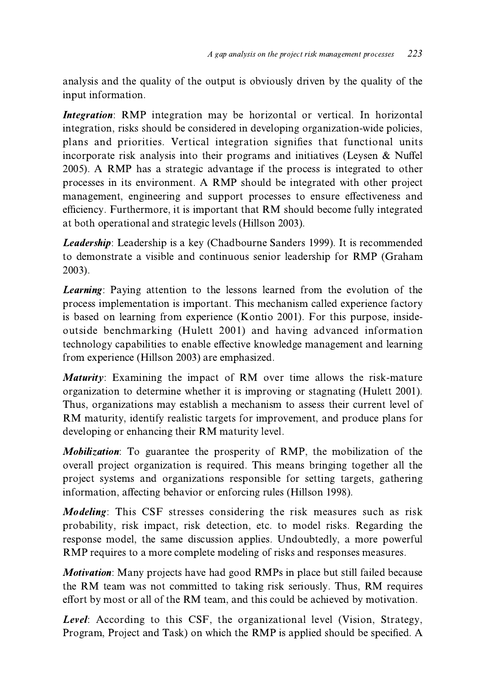analysis and the quality of the output is obviously driven by the quality of the input information.

*Integration*: RMP integration may be horizontal or vertical. In horizontal integration, risks should be considered in developing organization-wide policies, plans and priorities. Vertical integration signifies that functional units incorporate risk analysis into their programs and initiatives (Leysen & Nuffel 2005). A RMP has a strategic advantage if the process is integrated to other processes in its environment. A RMP should be integrated with other project management, engineering and support processes to ensure effectiveness and efficiency. Furthermore, it is important that RM should become fully integrated at both operational and strategic levels (Hillson 2003).

Leadership: Leadership is a key (Chadbourne Sanders 1999). It is recommended to demonstrate a visible and continuous senior leadership for RMP (Graham  $2003$ ).

Learning: Paying attention to the lessons learned from the evolution of the process implementation is important. This mechanism called experience factory is based on learning from experience (Kontio 2001). For this purpose, insideoutside benchmarking (Hulett 2001) and having advanced information technology capabilities to enable effective knowledge management and learning from experience (Hillson 2003) are emphasized.

**Maturity:** Examining the impact of RM over time allows the risk-mature organization to determine whether it is improving or stagnating (Hulett 2001). Thus, organizations may establish a mechanism to assess their current level of RM maturity, identify realistic targets for improvement, and produce plans for developing or enhancing their RM maturity level.

Mobilization: To guarantee the prosperity of RMP, the mobilization of the overall project organization is required. This means bringing together all the project systems and organizations responsible for setting targets, gathering information, affecting behavior or enforcing rules (Hillson 1998).

*Modeling*: This CSF stresses considering the risk measures such as risk probability, risk impact, risk detection, etc. to model risks. Regarding the response model, the same discussion applies. Undoubtedly, a more powerful RMP requires to a more complete modeling of risks and responses measures.

*Motivation:* Many projects have had good RMPs in place but still failed because the RM team was not committed to taking risk seriously. Thus, RM requires effort by most or all of the RM team, and this could be achieved by motivation.

**Level:** According to this CSF, the organizational level (Vision, Strategy, Program, Project and Task) on which the RMP is applied should be specified. A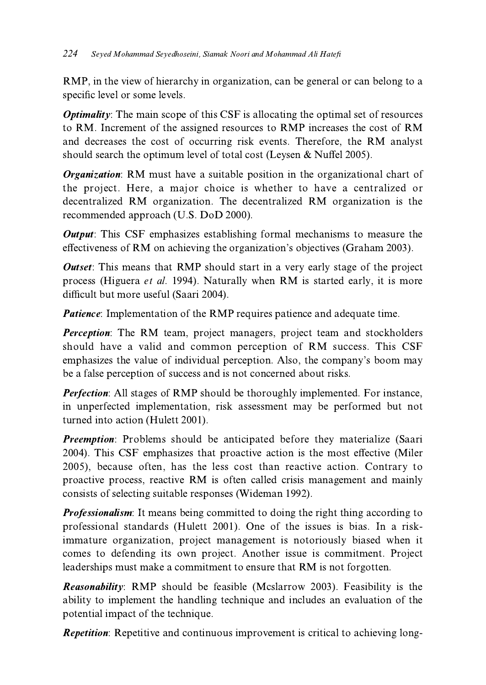RMP, in the view of hierarchy in organization, can be general or can belong to a specific level or some levels.

**Optimality:** The main scope of this CSF is allocating the optimal set of resources to RM. Increment of the assigned resources to RMP increases the cost of RM and decreases the cost of occurring risk events. Therefore, the RM analyst should search the optimum level of total cost (Leysen  $\&$  Nuffel 2005).

**Organization:** RM must have a suitable position in the organizational chart of the project. Here, a major choice is whether to have a centralized or decentralized RM organization. The decentralized RM organization is the recommended approach (U.S. DoD 2000).

**Output:** This CSF emphasizes establishing formal mechanisms to measure the effectiveness of RM on achieving the organization's objectives (Graham 2003).

**Outset:** This means that RMP should start in a very early stage of the project process (Higuera et al. 1994). Naturally when RM is started early, it is more difficult but more useful (Saari 2004).

**Patience:** Implementation of the RMP requires patience and adequate time.

**Perception:** The RM team, project managers, project team and stockholders should have a valid and common perception of RM success. This CSF emphasizes the value of individual perception. Also, the company's boom may be a false perception of success and is not concerned about risks.

**Perfection:** All stages of RMP should be thoroughly implemented. For instance, in unperfected implementation, risk assessment may be performed but not turned into action (Hulett 2001).

**Preemption:** Problems should be anticipated before they materialize (Saari 2004). This CSF emphasizes that proactive action is the most effective (Miler 2005), because often, has the less cost than reactive action. Contrary to proactive process, reactive RM is often called crisis management and mainly consists of selecting suitable responses (Wideman 1992).

Professionalism: It means being committed to doing the right thing according to professional standards (Hulett 2001). One of the issues is bias. In a riskimmature organization, project management is notoriously biased when it comes to defending its own project. Another issue is commitment. Project leaderships must make a commitment to ensure that RM is not forgotten.

**Reasonability:** RMP should be feasible (Mcslarrow 2003). Feasibility is the ability to implement the handling technique and includes an evaluation of the potential impact of the technique.

**Repetition:** Repetitive and continuous improvement is critical to achieving long-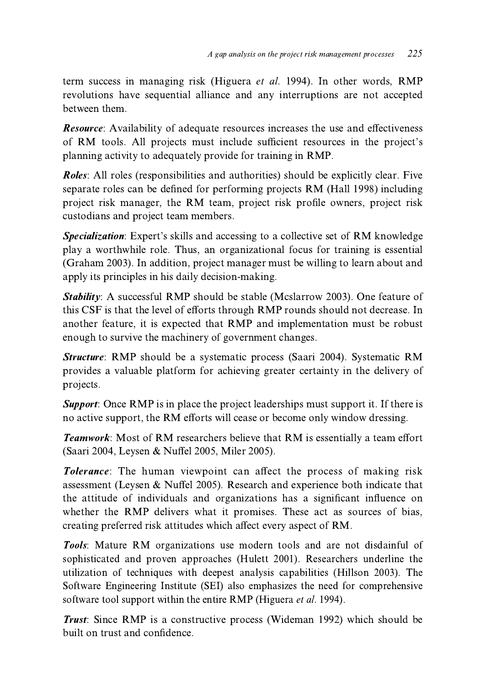term success in managing risk (Higuera et al. 1994). In other words, RMP revolutions have sequential alliance and any interruptions are not accepted between them.

**Resource:** Availability of adequate resources increases the use and effectiveness of RM tools. All projects must include sufficient resources in the project's planning activity to adequately provide for training in RMP.

**Roles:** All roles (responsibilities and authorities) should be explicitly clear. Five separate roles can be defined for performing projects RM (Hall 1998) including project risk manager, the RM team, project risk profile owners, project risk custodians and project team members.

Specialization: Expert's skills and accessing to a collective set of RM knowledge play a worthwhile role. Thus, an organizational focus for training is essential (Graham 2003). In addition, project manager must be willing to learn about and apply its principles in his daily decision-making.

**Stability:** A successful RMP should be stable (Mcslarrow 2003). One feature of this CSF is that the level of efforts through RMP rounds should not decrease. In another feature, it is expected that RMP and implementation must be robust enough to survive the machinery of government changes.

**Structure:** RMP should be a systematic process (Saari 2004). Systematic RM provides a valuable platform for achieving greater certainty in the delivery of projects.

**Support:** Once RMP is in place the project leaderships must support it. If there is no active support, the RM efforts will cease or become only window dressing.

**Teamwork:** Most of RM researchers believe that RM is essentially a team effort (Saari 2004, Leysen & Nuffel 2005, Miler 2005).

Tolerance: The human viewpoint can affect the process of making risk assessment (Leysen & Nuffel 2005). Research and experience both indicate that the attitude of individuals and organizations has a significant influence on whether the RMP delivers what it promises. These act as sources of bias, creating preferred risk attitudes which affect every aspect of RM.

Tools: Mature RM organizations use modern tools and are not disdainful of sophisticated and proven approaches (Hulett 2001). Researchers underline the utilization of techniques with deepest analysis capabilities (Hillson 2003). The Software Engineering Institute (SEI) also emphasizes the need for comprehensive software tool support within the entire RMP (Higuera *et al.* 1994).

**Trust:** Since RMP is a constructive process (Wideman 1992) which should be built on trust and confidence.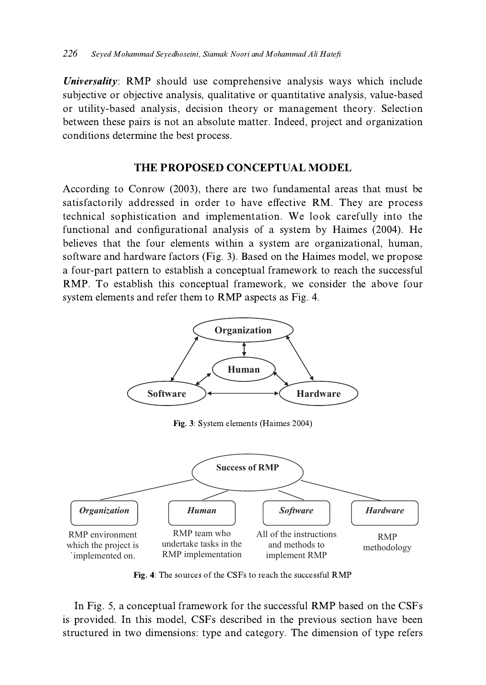*Universality*: RMP should use comprehensive analysis ways which include subjective or objective analysis, qualitative or quantitative analysis, value-based or utility-based analysis, decision theory or management theory. Selection between these pairs is not an absolute matter. Indeed, project and organization conditions determine the best process.

### THE PROPOSED CONCEPTUAL MODEL

According to Conrow (2003), there are two fundamental areas that must be satisfactorily addressed in order to have effective RM. They are process technical sophistication and implementation. We look carefully into the functional and configurational analysis of a system by Haimes (2004). He believes that the four elements within a system are organizational, human, software and hardware factors (Fig. 3). Based on the Haimes model, we propose a four-part pattern to establish a conceptual framework to reach the successful RMP. To establish this conceptual framework, we consider the above four system elements and refer them to RMP aspects as Fig. 4.



Fig. 3: System elements (Haimes 2004)



Fig. 4: The sources of the CSFs to reach the successful RMP

In Fig. 5, a conceptual framework for the successful RMP based on the CSFs is provided. In this model, CSFs described in the previous section have been structured in two dimensions: type and category. The dimension of type refers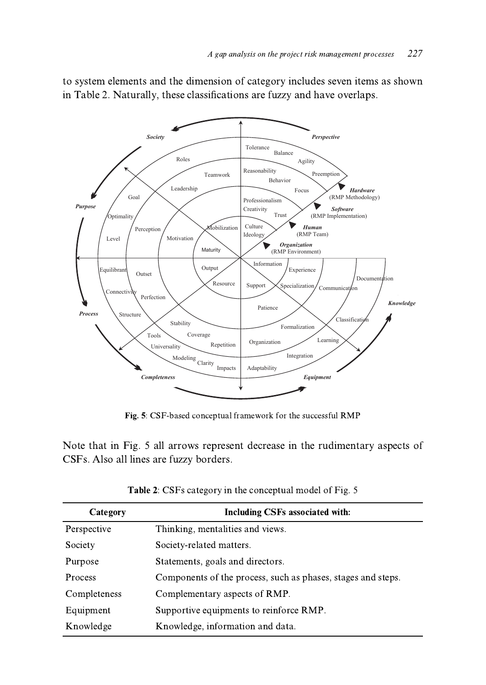

to system elements and the dimension of category includes seven items as shown in Table 2. Naturally, these classifications are fuzzy and have overlaps.

Fig. 5: CSF-based conceptual framework for the successful RMP

Note that in Fig. 5 all arrows represent decrease in the rudimentary aspects of CSFs. Also all lines are fuzzy borders.

| Category     | Including CSFs associated with:                              |
|--------------|--------------------------------------------------------------|
| Perspective  | Thinking, mentalities and views.                             |
| Society      | Society-related matters.                                     |
| Purpose      | Statements, goals and directors.                             |
| Process      | Components of the process, such as phases, stages and steps. |
| Completeness | Complementary aspects of RMP.                                |
| Equipment    | Supportive equipments to reinforce RMP.                      |
| Knowledge    | Knowledge, information and data.                             |

Table 2: CSFs category in the conceptual model of Fig. 5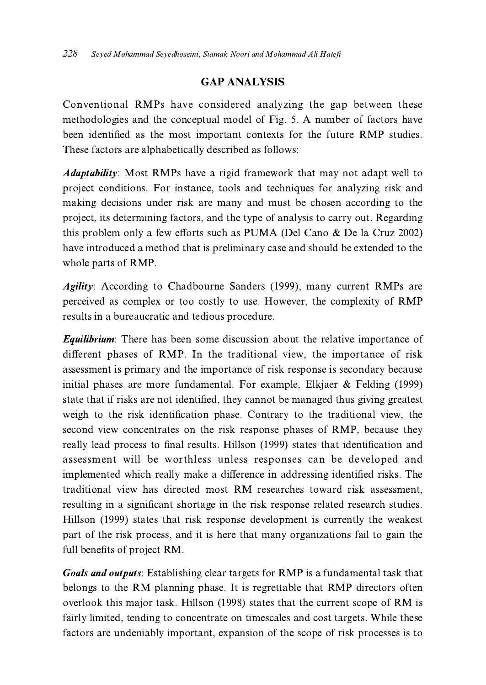### **GAP ANALYSIS**

Conventional RMPs have considered analyzing the gap between these methodologies and the conceptual model of Fig. 5. A number of factors have been identified as the most important contexts for the future RMP studies. These factors are alphabetically described as follows:

*Adaptability*: Most RMPs have a rigid framework that may not adapt well to project conditions. For instance, tools and techniques for analyzing risk and making decisions under risk are many and must be chosen according to the project, its determining factors, and the type of analysis to carry out. Regarding this problem only a few efforts such as PUMA (Del Cano & De la Cruz 2002) have introduced a method that is preliminary case and should be extended to the whole parts of RMP.

*Agility*: According to Chadbourne Sanders (1999), many current RMPs are perceived as complex or too costly to use. However, the complexity of RMP results in a bureaucratic and tedious procedure.

**Equilibrium:** There has been some discussion about the relative importance of different phases of RMP. In the traditional view, the importance of risk assessment is primary and the importance of risk response is secondary because initial phases are more fundamental. For example, Elkjaer  $&$  Felding (1999) state that if risks are not identified, they cannot be managed thus giving greatest weigh to the risk identification phase. Contrary to the traditional view, the second view concentrates on the risk response phases of RMP, because they really lead process to final results. Hillson (1999) states that identification and assessment will be worthless unless responses can be developed and implemented which really make a difference in addressing identified risks. The traditional view has directed most RM researches toward risk assessment, resulting in a significant shortage in the risk response related research studies. Hillson (1999) states that risk response development is currently the weakest part of the risk process, and it is here that many organizations fail to gain the full benefits of project RM.

**Goals and outputs:** Establishing clear targets for RMP is a fundamental task that belongs to the RM planning phase. It is regrettable that RMP directors often overlook this major task. Hillson (1998) states that the current scope of RM is fairly limited, tending to concentrate on timescales and cost targets. While these factors are undeniably important, expansion of the scope of risk processes is to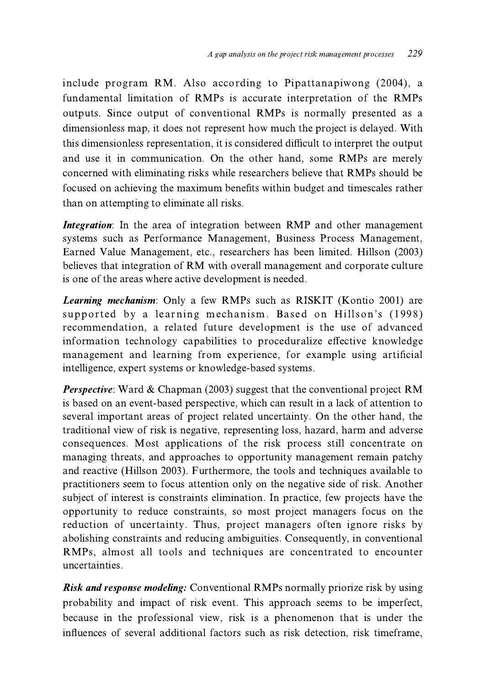include program RM. Also according to Pipattanapiwong (2004), a fundamental limitation of RMPs is accurate interpretation of the RMPs outputs. Since output of conventional RMPs is normally presented as a dimensionless map, it does not represent how much the project is delayed. With this dimensionless representation, it is considered difficult to interpret the output and use it in communication. On the other hand, some RMPs are merely concerned with eliminating risks while researchers believe that RMPs should be focused on achieving the maximum benefits within budget and timescales rather than on attempting to eliminate all risks.

*Integration*: In the area of integration between RMP and other management systems such as Performance Management, Business Process Management, Earned Value Management, etc., researchers has been limited. Hillson (2003) believes that integration of RM with overall management and corporate culture is one of the areas where active development is needed.

*Learning mechanism*: Only a few RMPs such as RISKIT (Kontio 2001) are supported by a learning mechanism. Based on Hillson's (1998) recommendation, a related future development is the use of advanced information technology capabilities to proceduralize effective knowledge management and learning from experience, for example using artificial intelligence, expert systems or knowledge-based systems.

*Perspective:* Ward & Chapman (2003) suggest that the conventional project RM is based on an event-based perspective, which can result in a lack of attention to several important areas of project related uncertainty. On the other hand, the traditional view of risk is negative, representing loss, hazard, harm and adverse consequences. Most applications of the risk process still concentrate on managing threats, and approaches to opportunity management remain patchy and reactive (Hillson 2003). Furthermore, the tools and techniques available to practitioners seem to focus attention only on the negative side of risk. Another subject of interest is constraints elimination. In practice, few projects have the opportunity to reduce constraints, so most project managers focus on the reduction of uncertainty. Thus, project managers often ignore risks by abolishing constraints and reducing ambiguities. Consequently, in conventional RMPs, almost all tools and techniques are concentrated to encounter uncertainties.

Risk and response modeling: Conventional RMPs normally priorize risk by using probability and impact of risk event. This approach seems to be imperfect, because in the professional view, risk is a phenomenon that is under the influences of several additional factors such as risk detection, risk timeframe,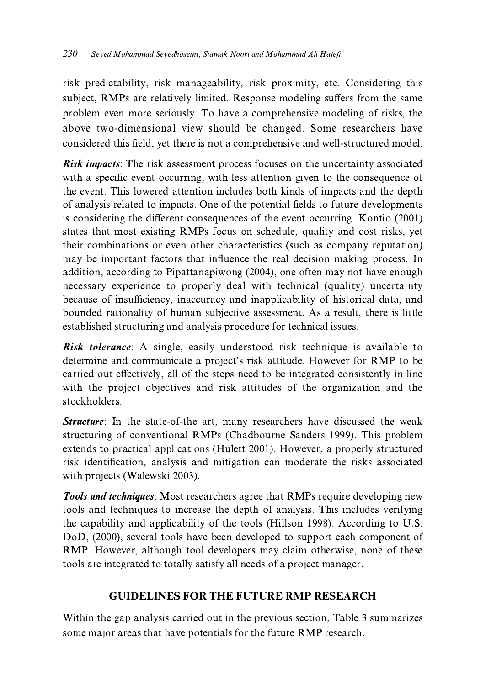risk predictability, risk manageability, risk proximity, etc. Considering this subject, RMPs are relatively limited. Response modeling suffers from the same problem even more seriously. To have a comprehensive modeling of risks, the above two-dimensional view should be changed. Some researchers have considered this field, yet there is not a comprehensive and well-structured model.

**Risk impacts:** The risk assessment process focuses on the uncertainty associated with a specific event occurring, with less attention given to the consequence of the event. This lowered attention includes both kinds of impacts and the depth of analysis related to impacts. One of the potential fields to future developments is considering the different consequences of the event occurring. Kontio (2001) states that most existing RMPs focus on schedule, quality and cost risks, yet their combinations or even other characteristics (such as company reputation) may be important factors that influence the real decision making process. In addition, according to Pipattanapiwong (2004), one often may not have enough necessary experience to properly deal with technical (quality) uncertainty because of insufficiency, inaccuracy and inapplicability of historical data, and bounded rationality of human subjective assessment. As a result, there is little established structuring and analysis procedure for technical issues.

**Risk tolerance:** A single, easily understood risk technique is available to determine and communicate a project's risk attitude. However for RMP to be carried out effectively, all of the steps need to be integrated consistently in line with the project objectives and risk attitudes of the organization and the stockholders.

**Structure**: In the state-of-the art, many researchers have discussed the weak structuring of conventional RMPs (Chadbourne Sanders 1999). This problem extends to practical applications (Hulett 2001). However, a properly structured risk identification, analysis and mitigation can moderate the risks associated with projects (Walewski 2003).

**Tools and techniques:** Most researchers agree that RMPs require developing new tools and techniques to increase the depth of analysis. This includes verifying the capability and applicability of the tools (Hillson 1998). According to U.S. DoD, (2000), several tools have been developed to support each component of RMP. However, although tool developers may claim otherwise, none of these tools are integrated to totally satisfy all needs of a project manager.

## **GUIDELINES FOR THE FUTURE RMP RESEARCH**

Within the gap analysis carried out in the previous section, Table 3 summarizes some major areas that have potentials for the future RMP research.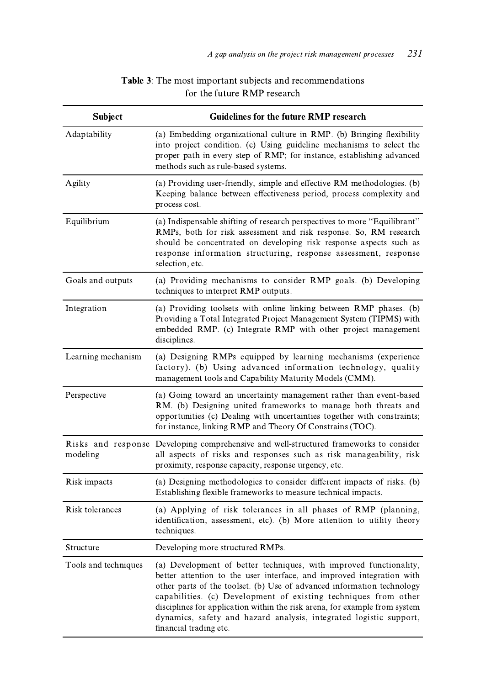| <b>Subject</b>       | <b>Guidelines for the future RMP research</b>                                                                                                                                                                                                                                                                                                                                                                                                                          |
|----------------------|------------------------------------------------------------------------------------------------------------------------------------------------------------------------------------------------------------------------------------------------------------------------------------------------------------------------------------------------------------------------------------------------------------------------------------------------------------------------|
| Adaptability         | (a) Embedding organizational culture in RMP. (b) Bringing flexibility<br>into project condition. (c) Using guideline mechanisms to select the<br>proper path in every step of RMP; for instance, establishing advanced<br>methods such as rule-based systems.                                                                                                                                                                                                          |
| Agility              | (a) Providing user-friendly, simple and effective RM methodologies. (b)<br>Keeping balance between effectiveness period, process complexity and<br>process cost.                                                                                                                                                                                                                                                                                                       |
| Equilibrium          | (a) Indispensable shifting of research perspectives to more "Equilibrant"<br>RMPs, both for risk assessment and risk response. So, RM research<br>should be concentrated on developing risk response aspects such as<br>response information structuring, response assessment, response<br>selection, etc.                                                                                                                                                             |
| Goals and outputs    | (a) Providing mechanisms to consider RMP goals. (b) Developing<br>techniques to interpret RMP outputs.                                                                                                                                                                                                                                                                                                                                                                 |
| Integration          | (a) Providing toolsets with online linking between RMP phases. (b)<br>Providing a Total Integrated Project Management System (TIPMS) with<br>embedded RMP. (c) Integrate RMP with other project management<br>disciplines.                                                                                                                                                                                                                                             |
| Learning mechanism   | (a) Designing RMPs equipped by learning mechanisms (experience<br>factory). (b) Using advanced information technology, quality<br>management tools and Capability Maturity Models (CMM).                                                                                                                                                                                                                                                                               |
| Perspective          | (a) Going toward an uncertainty management rather than event-based<br>RM. (b) Designing united frameworks to manage both threats and<br>opportunities (c) Dealing with uncertainties together with constraints;<br>for instance, linking RMP and Theory Of Constrains (TOC).                                                                                                                                                                                           |
| modeling             | Risks and response Developing comprehensive and well-structured frameworks to consider<br>all aspects of risks and responses such as risk manageability, risk<br>proximity, response capacity, response urgency, etc.                                                                                                                                                                                                                                                  |
| Risk impacts         | (a) Designing methodologies to consider different impacts of risks. (b)<br>Establishing flexible frameworks to measure technical impacts.                                                                                                                                                                                                                                                                                                                              |
| Risk tolerances      | (a) Applying of risk tolerances in all phases of RMP (planning,<br>identification, assessment, etc). (b) More attention to utility theory<br>techniques.                                                                                                                                                                                                                                                                                                               |
| Structure            | Developing more structured RMPs.                                                                                                                                                                                                                                                                                                                                                                                                                                       |
| Tools and techniques | (a) Development of better techniques, with improved functionality,<br>better attention to the user interface, and improved integration with<br>other parts of the toolset. (b) Use of advanced information technology<br>capabilities. (c) Development of existing techniques from other<br>disciplines for application within the risk arena, for example from system<br>dynamics, safety and hazard analysis, integrated logistic support,<br>financial trading etc. |

### Table 3: The most important subjects and recommendations for the future RMP research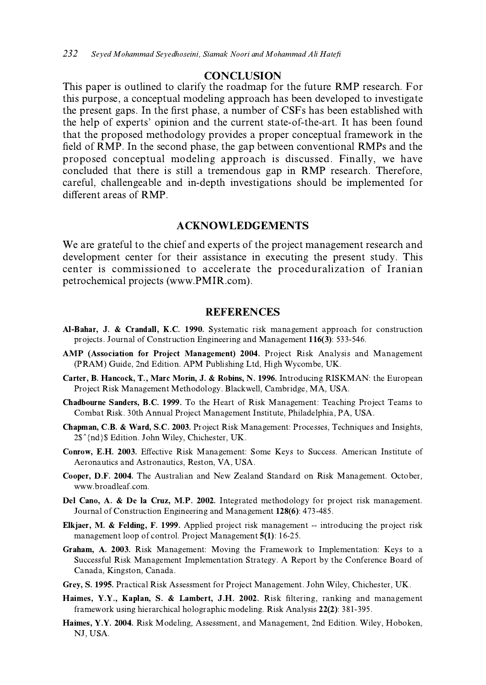#### **CONCLUSION**

This paper is outlined to clarify the roadmap for the future RMP research. For this purpose, a conceptual modeling approach has been developed to investigate the present gaps. In the first phase, a number of CSFs has been established with the help of experts' opinion and the current state-of-the-art. It has been found that the proposed methodology provides a proper conceptual framework in the field of RMP. In the second phase, the gap between conventional RMPs and the proposed conceptual modeling approach is discussed. Finally, we have concluded that there is still a tremendous gap in RMP research. Therefore, careful, challengeable and in-depth investigations should be implemented for different areas of RMP.

#### **ACKNOWLEDGEMENTS**

We are grateful to the chief and experts of the project management research and development center for their assistance in executing the present study. This center is commissioned to accelerate the proceduralization of Iranian petrochemical projects (www.PMIR.com).

### **REFERENCES**

- Al-Bahar, J. & Crandall, K.C. 1990. Systematic risk management approach for construction projects. Journal of Construction Engineering and Management 116(3): 533-546.
- AMP (Association for Project Management) 2004. Project Risk Analysis and Management (PRAM) Guide, 2nd Edition. APM Publishing Ltd, High Wycombe, UK.
- Carter, B. Hancock, T., Marc Morin, J. & Robins, N. 1996. Introducing RISKMAN: the European Project Risk Management Methodology. Blackwell, Cambridge, MA, USA.
- Chadbourne Sanders, B.C. 1999. To the Heart of Risk Management: Teaching Project Teams to Combat Risk. 30th Annual Project Management Institute, Philadelphia, PA, USA.
- Chapman, C.B. & Ward, S.C. 2003. Project Risk Management: Processes, Techniques and Insights, 2\$^{nd}\$ Edition. John Wiley, Chichester, UK.
- Conrow, E.H. 2003. Effective Risk Management: Some Keys to Success. American Institute of Aeronautics and Astronautics, Reston, VA, USA.
- Cooper, D.F. 2004. The Australian and New Zealand Standard on Risk Management. October, www.broadleaf.com.
- Del Cano, A. & De la Cruz, M.P. 2002. Integrated methodology for project risk management. Journal of Construction Engineering and Management 128(6): 473-485.
- Elkjaer, M. & Felding, F. 1999. Applied project risk management -- introducing the project risk management loop of control. Project Management 5(1): 16-25.
- Graham, A. 2003. Risk Management: Moving the Framework to Implementation: Keys to a Successful Risk Management Implementation Strategy. A Report by the Conference Board of Canada, Kingston, Canada.
- Grey, S. 1995. Practical Risk Assessment for Project Management. John Wiley, Chichester, UK.
- Haimes, Y.Y., Kaplan, S. & Lambert, J.H. 2002. Risk filtering, ranking and management framework using hierarchical holographic modeling. Risk Analysis 22(2): 381-395.
- Haimes, Y.Y. 2004. Risk Modeling, Assessment, and Management, 2nd Edition. Wiley, Hoboken, NJ, USA.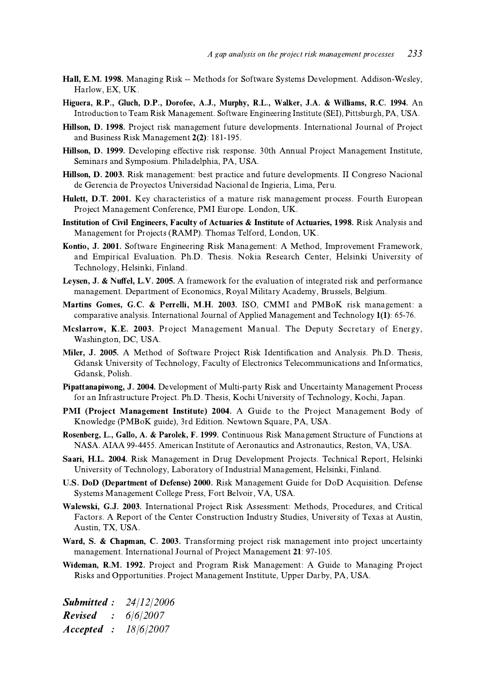- Hall, E.M. 1998. Managing Risk -- Methods for Software Systems Development. Addison-Wesley, Harlow, EX, UK.
- Higuera, R.P., Gluch, D.P., Dorofee, A.J., Murphy, R.L., Walker, J.A. & Williams, R.C. 1994. An Introduction to Team Risk Management. Software Engineering Institute (SEI), Pittsburgh, PA, USA.
- Hillson, D. 1998. Project risk management future developments. International Journal of Project and Business Risk Management 2(2): 181-195.
- Hillson, D. 1999. Developing effective risk response. 30th Annual Project Management Institute, Seminars and Symposium. Philadelphia, PA, USA.
- Hillson, D. 2003. Risk management: best practice and future developments. II Congreso Nacional de Gerencia de Proyectos Universidad Nacional de Ingieria, Lima, Peru.
- Hulett, D.T. 2001. Key characteristics of a mature risk management process. Fourth European Project Management Conference, PMI Europe. London, UK.
- Institution of Civil Engineers, Faculty of Actuaries & Institute of Actuaries, 1998. Risk Analysis and Management for Projects (RAMP). Thomas Telford, London, UK.
- Kontio, J. 2001. Software Engineering Risk Management: A Method, Improvement Framework, and Empirical Evaluation. Ph.D. Thesis. Nokia Research Center, Helsinki University of Technology, Helsinki, Finland.
- Levsen, J. & Nuffel, L.V. 2005. A framework for the evaluation of integrated risk and performance management. Department of Economics, Royal Military Academy, Brussels, Belgium.
- Martins Gomes, G.C. & Perrelli, M.H. 2003. ISO, CMMI and PMBoK risk management: a comparative analysis. International Journal of Applied Management and Technology 1(1): 65-76.
- Mcslarrow, K.E. 2003. Project Management Manual. The Deputy Secretary of Energy, Washington, DC, USA.
- Miler, J. 2005. A Method of Software Project Risk Identification and Analysis. Ph.D. Thesis, Gdansk University of Technology, Faculty of Electronics Telecommunications and Informatics, Gdansk, Polish.
- Pipattanapiwong, J. 2004. Development of Multi-party Risk and Uncertainty Management Process for an Infrastructure Project. Ph.D. Thesis, Kochi University of Technology, Kochi, Japan.
- PMI (Project Management Institute) 2004. A Guide to the Project Management Body of Knowledge (PMBoK guide), 3rd Edition. Newtown Square, PA, USA.
- Rosenberg, L., Gallo, A. & Parolek, F. 1999. Continuous Risk Management Structure of Functions at NASA. AIAA 99-4455. American Institute of Aeronautics and Astronautics, Reston, VA, USA.
- Saari, H.L. 2004. Risk Management in Drug Development Projects. Technical Report, Helsinki University of Technology, Laboratory of Industrial Management, Helsinki, Finland.
- U.S. DoD (Department of Defense) 2000. Risk Management Guide for DoD Acquisition. Defense Systems Management College Press, Fort Belvoir, VA, USA.
- Walewski, G.J. 2003. International Project Risk Assessment: Methods, Procedures, and Critical Factors. A Report of the Center Construction Industry Studies, University of Texas at Austin, Austin, TX, USA.
- Ward, S. & Chapman, C. 2003. Transforming project risk management into project uncertainty management. International Journal of Project Management 21: 97-105.
- Wideman, R.M. 1992. Project and Program Risk Management: A Guide to Managing Project Risks and Opportunities. Project Management Institute, Upper Darby, PA, USA.

**Submitted:** 24/12/2006  $\div$  6/6/2007 **Revised** Accepted : 18/6/2007